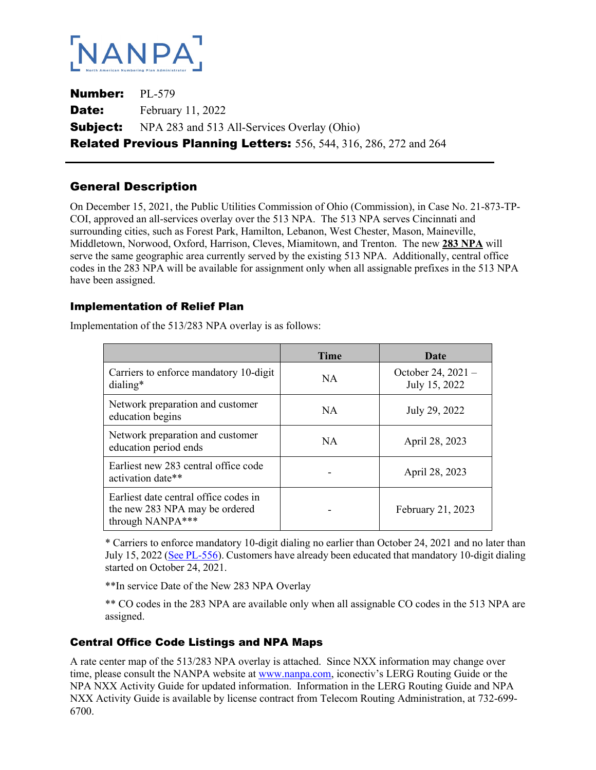

Number: PL-579 **Date:** February 11, 2022 **Subject:** NPA 283 and 513 All-Services Overlay (Ohio) Related Previous Planning Letters: 556, 544, 316, 286, 272 and 264

# General Description

On December 15, 2021, the Public Utilities Commission of Ohio (Commission), in Case No. 21-873-TP-COI, approved an all-services overlay over the 513 NPA. The 513 NPA serves Cincinnati and surrounding cities, such as Forest Park, Hamilton, Lebanon, West Chester, Mason, Maineville, Middletown, Norwood, Oxford, Harrison, Cleves, Miamitown, and Trenton. The new **283 NPA** will serve the same geographic area currently served by the existing 513 NPA. Additionally, central office codes in the 283 NPA will be available for assignment only when all assignable prefixes in the 513 NPA have been assigned.

#### Implementation of Relief Plan

|                                                                                             | <b>Time</b> | Date                                |
|---------------------------------------------------------------------------------------------|-------------|-------------------------------------|
| Carriers to enforce mandatory 10-digit<br>dialing*                                          | NA.         | October 24, 2021 -<br>July 15, 2022 |
| Network preparation and customer<br>education begins                                        | <b>NA</b>   | July 29, 2022                       |
| Network preparation and customer<br>education period ends                                   | NA.         | April 28, 2023                      |
| Earliest new 283 central office code<br>activation date**                                   |             | April 28, 2023                      |
| Earliest date central office codes in<br>the new 283 NPA may be ordered<br>through NANPA*** |             | February 21, 2023                   |

Implementation of the 513/283 NPA overlay is as follows:

\* Carriers to enforce mandatory 10-digit dialing no earlier than October 24, 2021 and no later than July 15, 2022 (See PL-556). Customers have already been educated that mandatory 10-digit dialing started on October 24, 2021.

\*\*In service Date of the New 283 NPA Overlay

\*\* CO codes in the 283 NPA are available only when all assignable CO codes in the 513 NPA are assigned.

## Central Office Code Listings and NPA Maps

A rate center map of the 513/283 NPA overlay is attached. Since NXX information may change over time, please consult the NANPA website at www.nanpa.com, iconectiv's LERG Routing Guide or the NPA NXX Activity Guide for updated information. Information in the LERG Routing Guide and NPA NXX Activity Guide is available by license contract from Telecom Routing Administration, at 732-699- 6700.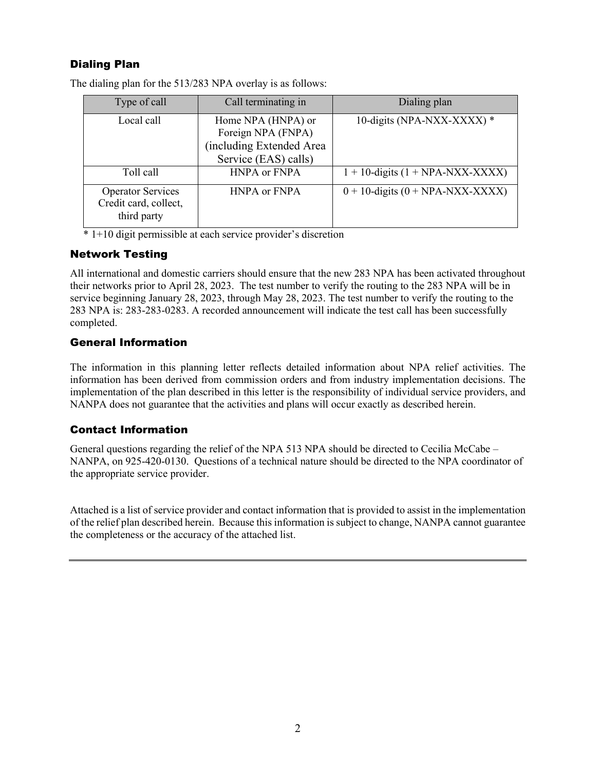## Dialing Plan

| Type of call                                                     | Call terminating in                                                                          | Dialing plan                          |
|------------------------------------------------------------------|----------------------------------------------------------------------------------------------|---------------------------------------|
| Local call                                                       | Home NPA (HNPA) or<br>Foreign NPA (FNPA)<br>(including Extended Area<br>Service (EAS) calls) | 10-digits (NPA-NXX-XXXX) *            |
| Toll call                                                        | <b>HNPA</b> or FNPA                                                                          | $1 + 10$ -digits $(1 + NPA-NXX-XXXX)$ |
| <b>Operator Services</b><br>Credit card, collect,<br>third party | <b>HNPA or FNPA</b>                                                                          | $0 + 10$ -digits $(0 + NPA-NXX-XXXX)$ |

The dialing plan for the 513/283 NPA overlay is as follows:

\* 1+10 digit permissible at each service provider's discretion

#### Network Testing

All international and domestic carriers should ensure that the new 283 NPA has been activated throughout their networks prior to April 28, 2023. The test number to verify the routing to the 283 NPA will be in service beginning January 28, 2023, through May 28, 2023. The test number to verify the routing to the 283 NPA is: 283-283-0283. A recorded announcement will indicate the test call has been successfully completed.

## General Information

The information in this planning letter reflects detailed information about NPA relief activities. The information has been derived from commission orders and from industry implementation decisions. The implementation of the plan described in this letter is the responsibility of individual service providers, and NANPA does not guarantee that the activities and plans will occur exactly as described herein.

## Contact Information

General questions regarding the relief of the NPA 513 NPA should be directed to Cecilia McCabe – NANPA, on 925-420-0130. Questions of a technical nature should be directed to the NPA coordinator of the appropriate service provider.

Attached is a list of service provider and contact information that is provided to assist in the implementation of the relief plan described herein. Because this information is subject to change, NANPA cannot guarantee the completeness or the accuracy of the attached list.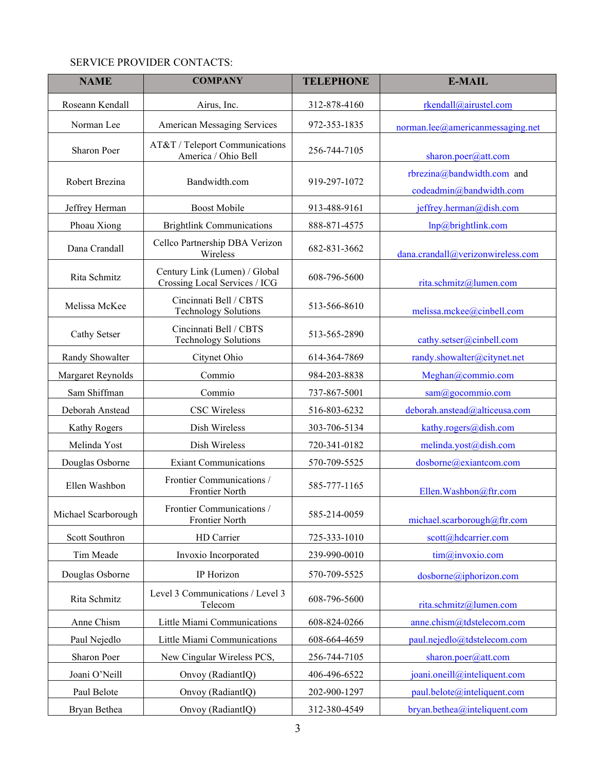## SERVICE PROVIDER CONTACTS:

| <b>NAME</b>         | <b>COMPANY</b>                                                 | <b>TELEPHONE</b> | <b>E-MAIL</b>                                         |
|---------------------|----------------------------------------------------------------|------------------|-------------------------------------------------------|
| Roseann Kendall     | Airus, Inc.                                                    | 312-878-4160     | rkendall@airustel.com                                 |
| Norman Lee          | American Messaging Services                                    | 972-353-1835     | norman.lee@americanmessaging.net                      |
| Sharon Poer         | AT&T / Teleport Communications<br>America / Ohio Bell          | 256-744-7105     | sharon.poer@att.com                                   |
| Robert Brezina      | Bandwidth.com                                                  | 919-297-1072     | rbrezina@bandwidth.com and<br>codeadmin@bandwidth.com |
| Jeffrey Herman      | <b>Boost Mobile</b>                                            | 913-488-9161     | jeffrey.herman@dish.com                               |
| Phoau Xiong         | <b>Brightlink Communications</b>                               | 888-871-4575     | lnp@brightlink.com                                    |
| Dana Crandall       | Cellco Partnership DBA Verizon<br>Wireless                     | 682-831-3662     | dana.crandall@verizonwireless.com                     |
| Rita Schmitz        | Century Link (Lumen) / Global<br>Crossing Local Services / ICG | 608-796-5600     | rita.schmitz@lumen.com                                |
| Melissa McKee       | Cincinnati Bell / CBTS<br><b>Technology Solutions</b>          | 513-566-8610     | melissa.mckee@cinbell.com                             |
| Cathy Setser        | Cincinnati Bell / CBTS<br><b>Technology Solutions</b>          | 513-565-2890     | cathy.setser@cinbell.com                              |
| Randy Showalter     | Citynet Ohio                                                   | 614-364-7869     | randy.showalter@citynet.net                           |
| Margaret Reynolds   | Commio                                                         | 984-203-8838     | Meghan@commio.com                                     |
| Sam Shiffman        | Commio                                                         | 737-867-5001     | sam@gocommio.com                                      |
| Deborah Anstead     | <b>CSC</b> Wireless                                            | 516-803-6232     | deborah.anstead@alticeusa.com                         |
| <b>Kathy Rogers</b> | Dish Wireless                                                  | 303-706-5134     | kathy.rogers@dish.com                                 |
| Melinda Yost        | Dish Wireless                                                  | 720-341-0182     | melinda.yost@dish.com                                 |
| Douglas Osborne     | <b>Exiant Communications</b>                                   | 570-709-5525     | dosborne@exiantcom.com                                |
| Ellen Washbon       | Frontier Communications /<br>Frontier North                    | 585-777-1165     | Ellen.Washbon@ftr.com                                 |
| Michael Scarborough | Frontier Communications /<br>Frontier North                    | 585-214-0059     | michael.scarborough@ftr.com                           |
| Scott Southron      | HD Carrier                                                     | 725-333-1010     | scott@hdcarrier.com                                   |
| Tim Meade           | Invoxio Incorporated                                           | 239-990-0010     | tim@invoxio.com                                       |
| Douglas Osborne     | IP Horizon                                                     | 570-709-5525     | dosborne@iphorizon.com                                |
| Rita Schmitz        | Level 3 Communications / Level 3<br>Telecom                    | 608-796-5600     | rita.schmitz@lumen.com                                |
| Anne Chism          | Little Miami Communications                                    | 608-824-0266     | anne.chism@tdstelecom.com                             |
| Paul Nejedlo        | Little Miami Communications                                    | 608-664-4659     | paul.nejedlo@tdstelecom.com                           |
| Sharon Poer         | New Cingular Wireless PCS,                                     | 256-744-7105     | sharon.poer@att.com                                   |
| Joani O'Neill       | Onvoy (RadiantIQ)                                              | 406-496-6522     | joani.oneill@inteliquent.com                          |
| Paul Belote         | Onvoy (RadiantIQ)                                              | 202-900-1297     | paul.belote@inteliquent.com                           |
| Bryan Bethea        | Onvoy (RadiantIQ)                                              | 312-380-4549     | bryan.bethea@inteliquent.com                          |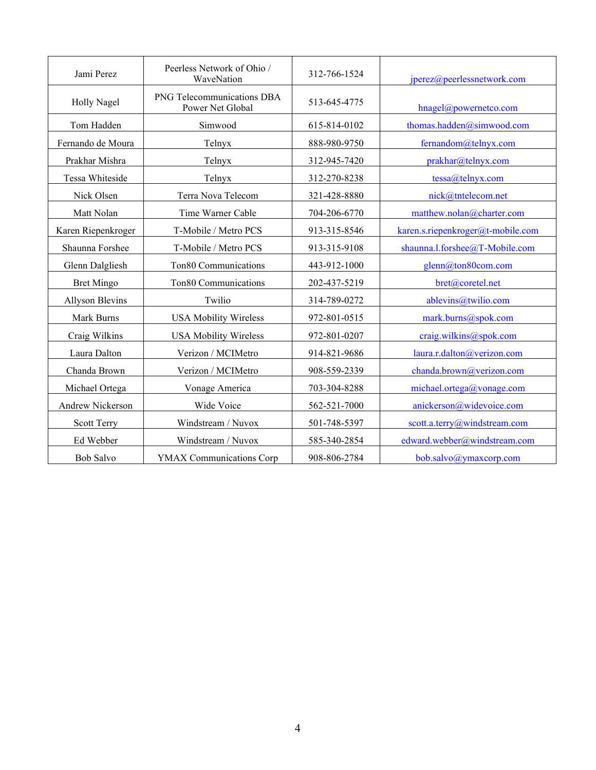| Jami Perez             | Peerless Network of Ohio /<br>WaveNation       | 312-766-1524 | jperez@peerlessnetwork.com        |
|------------------------|------------------------------------------------|--------------|-----------------------------------|
| <b>Holly Nagel</b>     | PNG Telecommunications DBA<br>Power Net Global | 513-645-4775 | hnagel@powernetco.com             |
| Tom Hadden             | Simwood                                        | 615-814-0102 | thomas.hadden@simwood.com         |
| Fernando de Moura      | Telnyx                                         | 888-980-9750 | fernandom@telnyx.com              |
| Prakhar Mishra         | Telnyx                                         | 312-945-7420 | prakhar@telnyx.com                |
| Tessa Whiteside        | Telnyx                                         | 312-270-8238 | tessa@telnyx.com                  |
| Nick Olsen             | Terra Nova Telecom                             | 321-428-8880 | nick@tntelecom.net                |
| Matt Nolan             | Time Warner Cable                              | 704-206-6770 | matthew.nolan@charter.com         |
| Karen Riepenkroger     | T-Mobile / Metro PCS                           | 913-315-8546 | karen.s.riepenkroger@t-mobile.com |
| Shaunna Forshee        | T-Mobile / Metro PCS                           | 913-315-9108 | shaunna.l.forshee@T-Mobile.com    |
| Glenn Dalgliesh        | Ton80 Communications                           | 443-912-1000 | glenn@ton80com.com                |
| <b>Bret Mingo</b>      | Ton80 Communications                           | 202-437-5219 | bret@coretel.net                  |
| <b>Allyson Blevins</b> | Twilio                                         | 314-789-0272 | ablevins@twilio.com               |
| Mark Burns             | <b>USA Mobility Wireless</b>                   | 972-801-0515 | mark.burns@spok.com               |
| Craig Wilkins          | <b>USA Mobility Wireless</b>                   | 972-801-0207 | craig.wilkins@spok.com            |
| Laura Dalton           | Verizon / MCIMetro                             | 914-821-9686 | laura.r.dalton@verizon.com        |
| Chanda Brown           | Verizon / MCIMetro                             | 908-559-2339 | chanda.brown@verizon.com          |
| Michael Ortega         | Vonage America                                 | 703-304-8288 | michael.ortega@vonage.com         |
| Andrew Nickerson       | Wide Voice                                     | 562-521-7000 | anickerson@widevoice.com          |
| Scott Terry            | Windstream / Nuvox                             | 501-748-5397 | scott.a.terry@windstream.com      |
| Ed Webber              | Windstream / Nuvox                             | 585-340-2854 | edward.webber@windstream.com      |
| <b>Bob Salvo</b>       | <b>YMAX Communications Corp</b>                | 908-806-2784 | bob.salvo@ymaxcorp.com            |